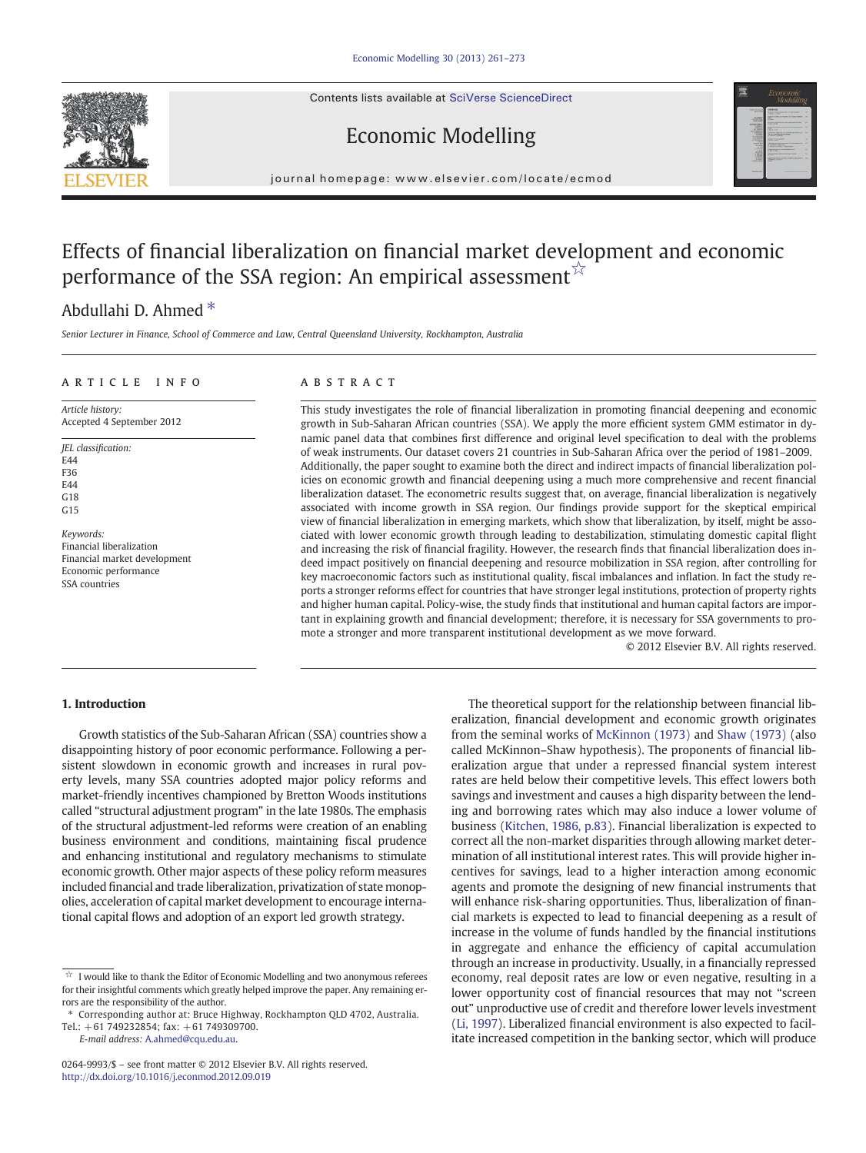Contents lists available at [SciVerse ScienceDirect](http://www.sciencedirect.com/science/journal/02649993)





Economic Modelling

journal homepage: www.elsevier.com/locate/ecmod

## Effects of financial liberalization on financial market development and economic performance of the SSA region: An empirical assessment  $\frac{1}{2}$

## Abdullahi D. Ahmed  $*$

Senior Lecturer in Finance, School of Commerce and Law, Central Queensland University, Rockhampton, Australia

### ARTICLE INFO ABSTRACT

Article history: Accepted 4 September 2012

JEL classification: E44 F36 E44  $C<sub>18</sub>$ G15

Keywords: Financial liberalization Financial market development Economic performance SSA countries

This study investigates the role of financial liberalization in promoting financial deepening and economic growth in Sub-Saharan African countries (SSA). We apply the more efficient system GMM estimator in dynamic panel data that combines first difference and original level specification to deal with the problems of weak instruments. Our dataset covers 21 countries in Sub-Saharan Africa over the period of 1981–2009. Additionally, the paper sought to examine both the direct and indirect impacts of financial liberalization policies on economic growth and financial deepening using a much more comprehensive and recent financial liberalization dataset. The econometric results suggest that, on average, financial liberalization is negatively associated with income growth in SSA region. Our findings provide support for the skeptical empirical view of financial liberalization in emerging markets, which show that liberalization, by itself, might be associated with lower economic growth through leading to destabilization, stimulating domestic capital flight and increasing the risk of financial fragility. However, the research finds that financial liberalization does indeed impact positively on financial deepening and resource mobilization in SSA region, after controlling for key macroeconomic factors such as institutional quality, fiscal imbalances and inflation. In fact the study reports a stronger reforms effect for countries that have stronger legal institutions, protection of property rights and higher human capital. Policy-wise, the study finds that institutional and human capital factors are important in explaining growth and financial development; therefore, it is necessary for SSA governments to promote a stronger and more transparent institutional development as we move forward.

© 2012 Elsevier B.V. All rights reserved.

### 1. Introduction

Growth statistics of the Sub-Saharan African (SSA) countries show a disappointing history of poor economic performance. Following a persistent slowdown in economic growth and increases in rural poverty levels, many SSA countries adopted major policy reforms and market-friendly incentives championed by Bretton Woods institutions called "structural adjustment program" in the late 1980s. The emphasis of the structural adjustment-led reforms were creation of an enabling business environment and conditions, maintaining fiscal prudence and enhancing institutional and regulatory mechanisms to stimulate economic growth. Other major aspects of these policy reform measures included financial and trade liberalization, privatization of state monopolies, acceleration of capital market development to encourage international capital flows and adoption of an export led growth strategy.

E-mail address: [A.ahmed@cqu.edu.au](mailto:A.ahmed@cqu.edu.au).

The theoretical support for the relationship between financial liberalization, financial development and economic growth originates from the seminal works of [McKinnon \(1973\)](#page--1-0) and [Shaw \(1973\)](#page--1-0) (also called McKinnon–Shaw hypothesis). The proponents of financial liberalization argue that under a repressed financial system interest rates are held below their competitive levels. This effect lowers both savings and investment and causes a high disparity between the lending and borrowing rates which may also induce a lower volume of business [\(Kitchen, 1986, p.83\)](#page--1-0). Financial liberalization is expected to correct all the non-market disparities through allowing market determination of all institutional interest rates. This will provide higher incentives for savings, lead to a higher interaction among economic agents and promote the designing of new financial instruments that will enhance risk-sharing opportunities. Thus, liberalization of financial markets is expected to lead to financial deepening as a result of increase in the volume of funds handled by the financial institutions in aggregate and enhance the efficiency of capital accumulation through an increase in productivity. Usually, in a financially repressed economy, real deposit rates are low or even negative, resulting in a lower opportunity cost of financial resources that may not "screen out" unproductive use of credit and therefore lower levels investment [\(Li, 1997](#page--1-0)). Liberalized financial environment is also expected to facilitate increased competition in the banking sector, which will produce

 $\stackrel{\leftrightarrow}{\sim} \,$  I would like to thank the Editor of Economic Modelling and two anonymous referees for their insightful comments which greatly helped improve the paper. Any remaining errors are the responsibility of the author.

<sup>⁎</sup> Corresponding author at: Bruce Highway, Rockhampton QLD 4702, Australia. Tel.:  $+61749232854$ : fax:  $+61749309700$ .

<sup>0264-9993/\$</sup> – see front matter © 2012 Elsevier B.V. All rights reserved. <http://dx.doi.org/10.1016/j.econmod.2012.09.019>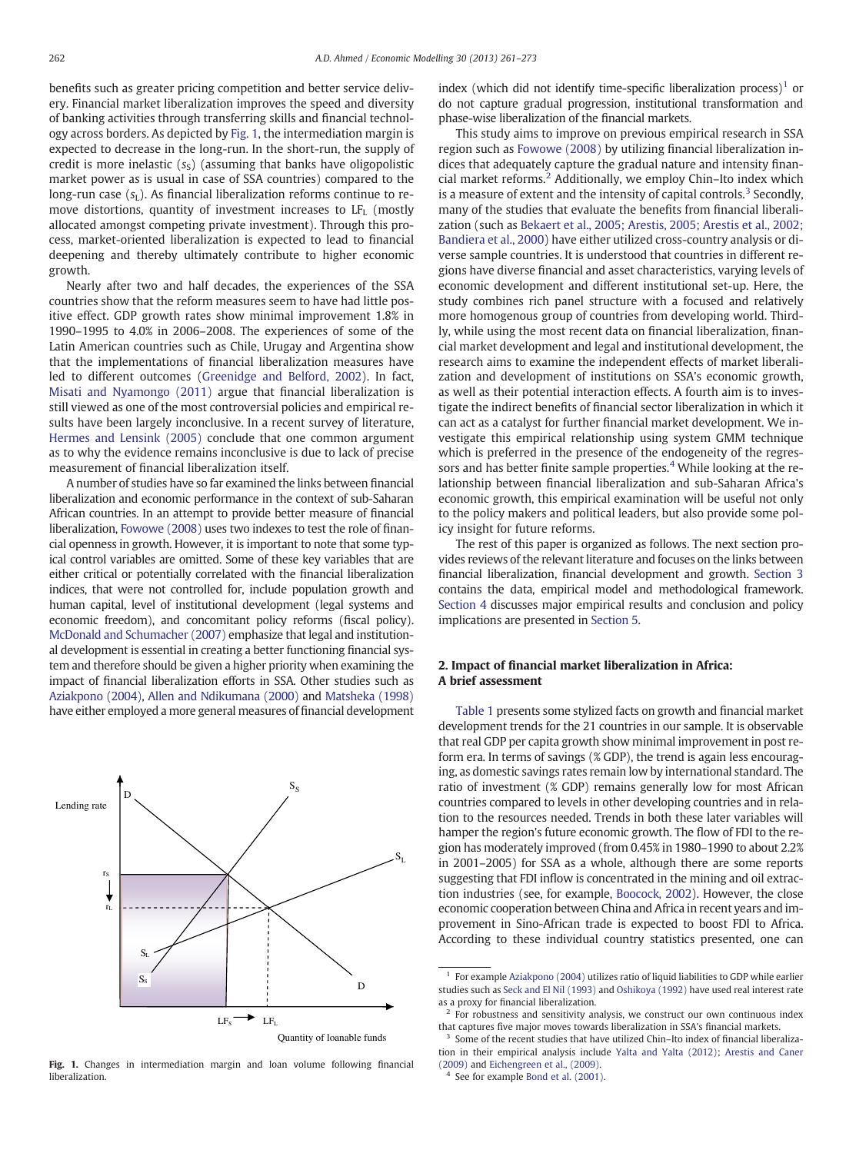benefits such as greater pricing competition and better service delivery. Financial market liberalization improves the speed and diversity of banking activities through transferring skills and financial technology across borders. As depicted by Fig. 1, the intermediation margin is expected to decrease in the long-run. In the short-run, the supply of credit is more inelastic  $(s<sub>S</sub>)$  (assuming that banks have oligopolistic market power as is usual in case of SSA countries) compared to the long-run case  $(s_L)$ . As financial liberalization reforms continue to remove distortions, quantity of investment increases to  $LF<sub>L</sub>$  (mostly allocated amongst competing private investment). Through this process, market-oriented liberalization is expected to lead to financial deepening and thereby ultimately contribute to higher economic growth.

Nearly after two and half decades, the experiences of the SSA countries show that the reform measures seem to have had little positive effect. GDP growth rates show minimal improvement 1.8% in 1990–1995 to 4.0% in 2006–2008. The experiences of some of the Latin American countries such as Chile, Urugay and Argentina show that the implementations of financial liberalization measures have led to different outcomes [\(Greenidge and Belford, 2002\)](#page--1-0). In fact, [Misati and Nyamongo \(2011\)](#page--1-0) argue that financial liberalization is still viewed as one of the most controversial policies and empirical results have been largely inconclusive. In a recent survey of literature, [Hermes and Lensink \(2005\)](#page--1-0) conclude that one common argument as to why the evidence remains inconclusive is due to lack of precise measurement of financial liberalization itself.

A number of studies have so far examined the links between financial liberalization and economic performance in the context of sub-Saharan African countries. In an attempt to provide better measure of financial liberalization, [Fowowe \(2008\)](#page--1-0) uses two indexes to test the role of financial openness in growth. However, it is important to note that some typical control variables are omitted. Some of these key variables that are either critical or potentially correlated with the financial liberalization indices, that were not controlled for, include population growth and human capital, level of institutional development (legal systems and economic freedom), and concomitant policy reforms (fiscal policy). [McDonald and Schumacher \(2007\)](#page--1-0) emphasize that legal and institutional development is essential in creating a better functioning financial system and therefore should be given a higher priority when examining the impact of financial liberalization efforts in SSA. Other studies such as [Aziakpono \(2004\),](#page--1-0) [Allen and Ndikumana \(2000\)](#page--1-0) and [Matsheka \(1998\)](#page--1-0) have either employed a more general measures of financial development



Fig. 1. Changes in intermediation margin and loan volume following financial liberalization.

index (which did not identify time-specific liberalization process)<sup>1</sup> or do not capture gradual progression, institutional transformation and phase-wise liberalization of the financial markets.

This study aims to improve on previous empirical research in SSA region such as [Fowowe \(2008\)](#page--1-0) by utilizing financial liberalization indices that adequately capture the gradual nature and intensity financial market reforms.<sup>2</sup> Additionally, we employ Chin–Ito index which is a measure of extent and the intensity of capital controls.<sup>3</sup> Secondly, many of the studies that evaluate the benefits from financial liberalization (such as [Bekaert et al., 2005; Arestis, 2005; Arestis et al., 2002;](#page--1-0) [Bandiera et al., 2000](#page--1-0)) have either utilized cross-country analysis or diverse sample countries. It is understood that countries in different regions have diverse financial and asset characteristics, varying levels of economic development and different institutional set-up. Here, the study combines rich panel structure with a focused and relatively more homogenous group of countries from developing world. Thirdly, while using the most recent data on financial liberalization, financial market development and legal and institutional development, the research aims to examine the independent effects of market liberalization and development of institutions on SSA's economic growth, as well as their potential interaction effects. A fourth aim is to investigate the indirect benefits of financial sector liberalization in which it can act as a catalyst for further financial market development. We investigate this empirical relationship using system GMM technique which is preferred in the presence of the endogeneity of the regressors and has better finite sample properties.<sup>4</sup> While looking at the relationship between financial liberalization and sub-Saharan Africa's economic growth, this empirical examination will be useful not only to the policy makers and political leaders, but also provide some policy insight for future reforms.

The rest of this paper is organized as follows. The next section provides reviews of the relevant literature and focuses on the links between financial liberalization, financial development and growth. [Section 3](#page--1-0) contains the data, empirical model and methodological framework. [Section 4](#page--1-0) discusses major empirical results and conclusion and policy implications are presented in [Section 5.](#page--1-0)

### 2. Impact of financial market liberalization in Africa: A brief assessment

[Table 1](#page--1-0) presents some stylized facts on growth and financial market development trends for the 21 countries in our sample. It is observable that real GDP per capita growth show minimal improvement in post reform era. In terms of savings (% GDP), the trend is again less encouraging, as domestic savings rates remain low by international standard. The ratio of investment (% GDP) remains generally low for most African countries compared to levels in other developing countries and in relation to the resources needed. Trends in both these later variables will hamper the region's future economic growth. The flow of FDI to the region has moderately improved (from 0.45% in 1980–1990 to about 2.2% in 2001–2005) for SSA as a whole, although there are some reports suggesting that FDI inflow is concentrated in the mining and oil extraction industries (see, for example, [Boocock, 2002\)](#page--1-0). However, the close economic cooperation between China and Africa in recent years and improvement in Sino-African trade is expected to boost FDI to Africa. According to these individual country statistics presented, one can

<sup>1</sup> For example [Aziakpono \(2004\)](#page--1-0) utilizes ratio of liquid liabilities to GDP while earlier studies such as [Seck and El Nil \(1993\)](#page--1-0) and [Oshikoya \(1992\)](#page--1-0) have used real interest rate as a proxy for financial liberalization.

<sup>&</sup>lt;sup>2</sup> For robustness and sensitivity analysis, we construct our own continuous index that captures five major moves towards liberalization in SSA's financial markets.

<sup>3</sup> Some of the recent studies that have utilized Chin–Ito index of financial liberalization in their empirical analysis include [Yalta and Yalta \(2012\);](#page--1-0) [Arestis and Caner](#page--1-0) [\(2009\)](#page--1-0) and [Eichengreen et al., \(2009\)](#page--1-0).

<sup>&</sup>lt;sup>4</sup> See for example [Bond et al. \(2001\)](#page--1-0).